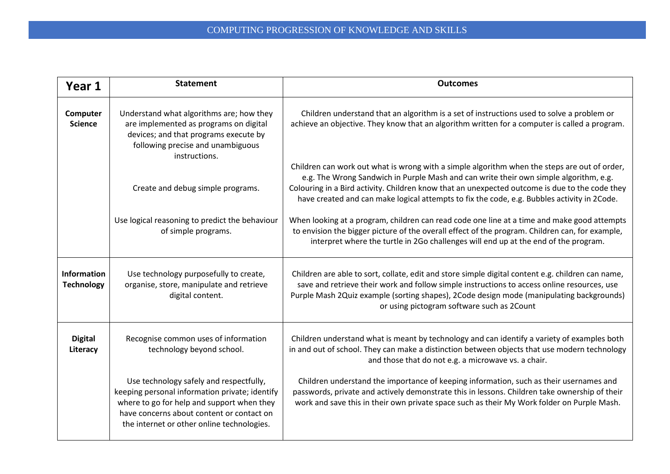| Year 1                                  | <b>Statement</b>                                                                                                                                                                                                                   | <b>Outcomes</b>                                                                                                                                                                                                                                                                                                                                                                        |
|-----------------------------------------|------------------------------------------------------------------------------------------------------------------------------------------------------------------------------------------------------------------------------------|----------------------------------------------------------------------------------------------------------------------------------------------------------------------------------------------------------------------------------------------------------------------------------------------------------------------------------------------------------------------------------------|
| Computer<br><b>Science</b>              | Understand what algorithms are; how they<br>are implemented as programs on digital<br>devices; and that programs execute by<br>following precise and unambiguous<br>instructions.                                                  | Children understand that an algorithm is a set of instructions used to solve a problem or<br>achieve an objective. They know that an algorithm written for a computer is called a program.                                                                                                                                                                                             |
|                                         | Create and debug simple programs.                                                                                                                                                                                                  | Children can work out what is wrong with a simple algorithm when the steps are out of order,<br>e.g. The Wrong Sandwich in Purple Mash and can write their own simple algorithm, e.g.<br>Colouring in a Bird activity. Children know that an unexpected outcome is due to the code they<br>have created and can make logical attempts to fix the code, e.g. Bubbles activity in 2Code. |
|                                         | Use logical reasoning to predict the behaviour<br>of simple programs.                                                                                                                                                              | When looking at a program, children can read code one line at a time and make good attempts<br>to envision the bigger picture of the overall effect of the program. Children can, for example,<br>interpret where the turtle in 2Go challenges will end up at the end of the program.                                                                                                  |
| <b>Information</b><br><b>Technology</b> | Use technology purposefully to create,<br>organise, store, manipulate and retrieve<br>digital content.                                                                                                                             | Children are able to sort, collate, edit and store simple digital content e.g. children can name,<br>save and retrieve their work and follow simple instructions to access online resources, use<br>Purple Mash 2Quiz example (sorting shapes), 2Code design mode (manipulating backgrounds)<br>or using pictogram software such as 2Count                                             |
| <b>Digital</b><br>Literacy              | Recognise common uses of information<br>technology beyond school.                                                                                                                                                                  | Children understand what is meant by technology and can identify a variety of examples both<br>in and out of school. They can make a distinction between objects that use modern technology<br>and those that do not e.g. a microwave vs. a chair.                                                                                                                                     |
|                                         | Use technology safely and respectfully,<br>keeping personal information private; identify<br>where to go for help and support when they<br>have concerns about content or contact on<br>the internet or other online technologies. | Children understand the importance of keeping information, such as their usernames and<br>passwords, private and actively demonstrate this in lessons. Children take ownership of their<br>work and save this in their own private space such as their My Work folder on Purple Mash.                                                                                                  |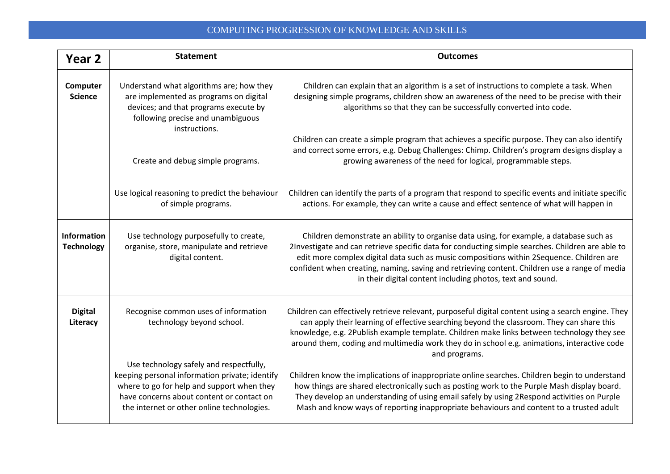| Year <sub>2</sub>                       | <b>Statement</b>                                                                                                                                                                                                                   | <b>Outcomes</b>                                                                                                                                                                                                                                                                                                                                                                                                                                        |
|-----------------------------------------|------------------------------------------------------------------------------------------------------------------------------------------------------------------------------------------------------------------------------------|--------------------------------------------------------------------------------------------------------------------------------------------------------------------------------------------------------------------------------------------------------------------------------------------------------------------------------------------------------------------------------------------------------------------------------------------------------|
| Computer<br><b>Science</b>              | Understand what algorithms are; how they<br>are implemented as programs on digital<br>devices; and that programs execute by<br>following precise and unambiguous<br>instructions.                                                  | Children can explain that an algorithm is a set of instructions to complete a task. When<br>designing simple programs, children show an awareness of the need to be precise with their<br>algorithms so that they can be successfully converted into code.                                                                                                                                                                                             |
|                                         | Create and debug simple programs.                                                                                                                                                                                                  | Children can create a simple program that achieves a specific purpose. They can also identify<br>and correct some errors, e.g. Debug Challenges: Chimp. Children's program designs display a<br>growing awareness of the need for logical, programmable steps.                                                                                                                                                                                         |
|                                         | Use logical reasoning to predict the behaviour<br>of simple programs.                                                                                                                                                              | Children can identify the parts of a program that respond to specific events and initiate specific<br>actions. For example, they can write a cause and effect sentence of what will happen in                                                                                                                                                                                                                                                          |
| <b>Information</b><br><b>Technology</b> | Use technology purposefully to create,<br>organise, store, manipulate and retrieve<br>digital content.                                                                                                                             | Children demonstrate an ability to organise data using, for example, a database such as<br>2Investigate and can retrieve specific data for conducting simple searches. Children are able to<br>edit more complex digital data such as music compositions within 2Sequence. Children are<br>confident when creating, naming, saving and retrieving content. Children use a range of media<br>in their digital content including photos, text and sound. |
| <b>Digital</b><br>Literacy              | Recognise common uses of information<br>technology beyond school.                                                                                                                                                                  | Children can effectively retrieve relevant, purposeful digital content using a search engine. They<br>can apply their learning of effective searching beyond the classroom. They can share this<br>knowledge, e.g. 2Publish example template. Children make links between technology they see<br>around them, coding and multimedia work they do in school e.g. animations, interactive code<br>and programs.                                          |
|                                         | Use technology safely and respectfully,<br>keeping personal information private; identify<br>where to go for help and support when they<br>have concerns about content or contact on<br>the internet or other online technologies. | Children know the implications of inappropriate online searches. Children begin to understand<br>how things are shared electronically such as posting work to the Purple Mash display board.<br>They develop an understanding of using email safely by using 2Respond activities on Purple<br>Mash and know ways of reporting inappropriate behaviours and content to a trusted adult                                                                  |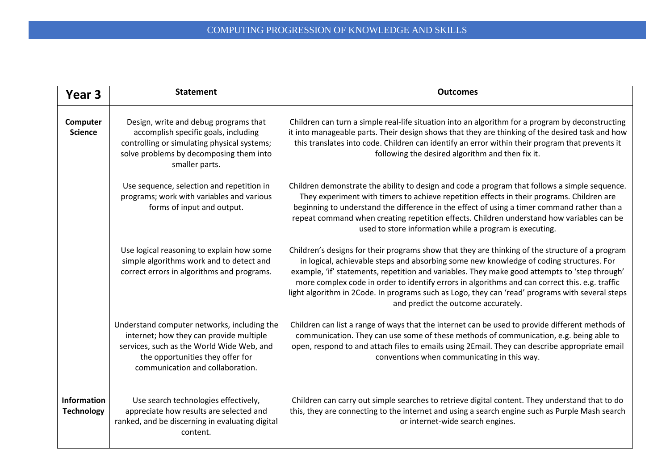| Year <sub>3</sub>                       | <b>Statement</b>                                                                                                                                                                                            | <b>Outcomes</b>                                                                                                                                                                                                                                                                                                                                                                                                                                                                                                                         |
|-----------------------------------------|-------------------------------------------------------------------------------------------------------------------------------------------------------------------------------------------------------------|-----------------------------------------------------------------------------------------------------------------------------------------------------------------------------------------------------------------------------------------------------------------------------------------------------------------------------------------------------------------------------------------------------------------------------------------------------------------------------------------------------------------------------------------|
| Computer<br><b>Science</b>              | Design, write and debug programs that<br>accomplish specific goals, including<br>controlling or simulating physical systems;<br>solve problems by decomposing them into<br>smaller parts.                   | Children can turn a simple real-life situation into an algorithm for a program by deconstructing<br>it into manageable parts. Their design shows that they are thinking of the desired task and how<br>this translates into code. Children can identify an error within their program that prevents it<br>following the desired algorithm and then fix it.                                                                                                                                                                              |
|                                         | Use sequence, selection and repetition in<br>programs; work with variables and various<br>forms of input and output.                                                                                        | Children demonstrate the ability to design and code a program that follows a simple sequence.<br>They experiment with timers to achieve repetition effects in their programs. Children are<br>beginning to understand the difference in the effect of using a timer command rather than a<br>repeat command when creating repetition effects. Children understand how variables can be<br>used to store information while a program is executing.                                                                                       |
|                                         | Use logical reasoning to explain how some<br>simple algorithms work and to detect and<br>correct errors in algorithms and programs.                                                                         | Children's designs for their programs show that they are thinking of the structure of a program<br>in logical, achievable steps and absorbing some new knowledge of coding structures. For<br>example, 'if' statements, repetition and variables. They make good attempts to 'step through'<br>more complex code in order to identify errors in algorithms and can correct this. e.g. traffic<br>light algorithm in 2Code. In programs such as Logo, they can 'read' programs with several steps<br>and predict the outcome accurately. |
|                                         | Understand computer networks, including the<br>internet; how they can provide multiple<br>services, such as the World Wide Web, and<br>the opportunities they offer for<br>communication and collaboration. | Children can list a range of ways that the internet can be used to provide different methods of<br>communication. They can use some of these methods of communication, e.g. being able to<br>open, respond to and attach files to emails using 2Email. They can describe appropriate email<br>conventions when communicating in this way.                                                                                                                                                                                               |
| <b>Information</b><br><b>Technology</b> | Use search technologies effectively,<br>appreciate how results are selected and<br>ranked, and be discerning in evaluating digital<br>content.                                                              | Children can carry out simple searches to retrieve digital content. They understand that to do<br>this, they are connecting to the internet and using a search engine such as Purple Mash search<br>or internet-wide search engines.                                                                                                                                                                                                                                                                                                    |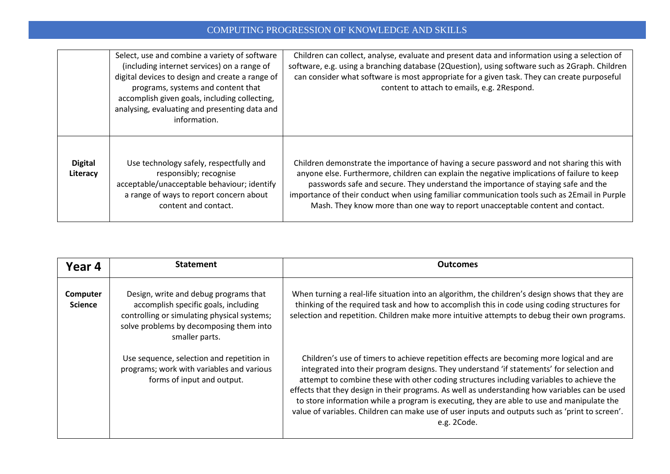|                            | Select, use and combine a variety of software<br>(including internet services) on a range of<br>digital devices to design and create a range of<br>programs, systems and content that<br>accomplish given goals, including collecting,<br>analysing, evaluating and presenting data and<br>information. | Children can collect, analyse, evaluate and present data and information using a selection of<br>software, e.g. using a branching database (2Question), using software such as 2Graph. Children<br>can consider what software is most appropriate for a given task. They can create purposeful<br>content to attach to emails, e.g. 2Respond.                                                                                                                  |
|----------------------------|---------------------------------------------------------------------------------------------------------------------------------------------------------------------------------------------------------------------------------------------------------------------------------------------------------|----------------------------------------------------------------------------------------------------------------------------------------------------------------------------------------------------------------------------------------------------------------------------------------------------------------------------------------------------------------------------------------------------------------------------------------------------------------|
| <b>Digital</b><br>Literacy | Use technology safely, respectfully and<br>responsibly; recognise<br>acceptable/unacceptable behaviour; identify<br>a range of ways to report concern about<br>content and contact.                                                                                                                     | Children demonstrate the importance of having a secure password and not sharing this with<br>anyone else. Furthermore, children can explain the negative implications of failure to keep<br>passwords safe and secure. They understand the importance of staying safe and the<br>importance of their conduct when using familiar communication tools such as 2Email in Purple<br>Mash. They know more than one way to report unacceptable content and contact. |

| Year 4                     | <b>Statement</b>                                                                                                                                                                          | <b>Outcomes</b>                                                                                                                                                                                                                                                                                                                                                                                                                                                                                                                                                                                    |
|----------------------------|-------------------------------------------------------------------------------------------------------------------------------------------------------------------------------------------|----------------------------------------------------------------------------------------------------------------------------------------------------------------------------------------------------------------------------------------------------------------------------------------------------------------------------------------------------------------------------------------------------------------------------------------------------------------------------------------------------------------------------------------------------------------------------------------------------|
| Computer<br><b>Science</b> | Design, write and debug programs that<br>accomplish specific goals, including<br>controlling or simulating physical systems;<br>solve problems by decomposing them into<br>smaller parts. | When turning a real-life situation into an algorithm, the children's design shows that they are<br>thinking of the required task and how to accomplish this in code using coding structures for<br>selection and repetition. Children make more intuitive attempts to debug their own programs.                                                                                                                                                                                                                                                                                                    |
|                            | Use sequence, selection and repetition in<br>programs; work with variables and various<br>forms of input and output.                                                                      | Children's use of timers to achieve repetition effects are becoming more logical and are<br>integrated into their program designs. They understand 'if statements' for selection and<br>attempt to combine these with other coding structures including variables to achieve the<br>effects that they design in their programs. As well as understanding how variables can be used<br>to store information while a program is executing, they are able to use and manipulate the<br>value of variables. Children can make use of user inputs and outputs such as 'print to screen'.<br>e.g. 2Code. |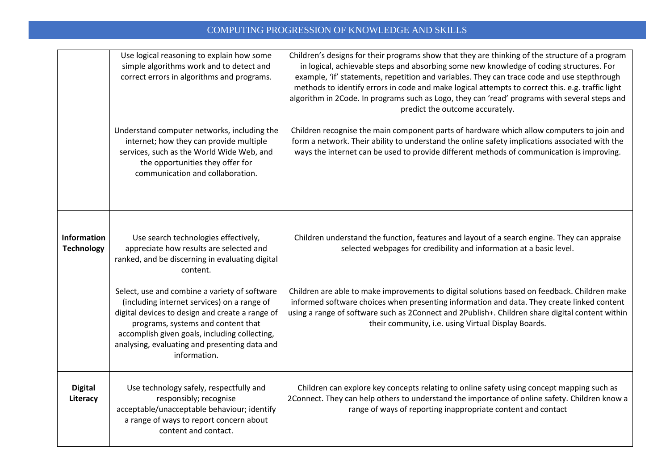|                                         | Use logical reasoning to explain how some<br>simple algorithms work and to detect and<br>correct errors in algorithms and programs.                                                                                                                                                                     | Children's designs for their programs show that they are thinking of the structure of a program<br>in logical, achievable steps and absorbing some new knowledge of coding structures. For<br>example, 'if' statements, repetition and variables. They can trace code and use stepthrough<br>methods to identify errors in code and make logical attempts to correct this. e.g. traffic light<br>algorithm in 2Code. In programs such as Logo, they can 'read' programs with several steps and<br>predict the outcome accurately. |
|-----------------------------------------|---------------------------------------------------------------------------------------------------------------------------------------------------------------------------------------------------------------------------------------------------------------------------------------------------------|-----------------------------------------------------------------------------------------------------------------------------------------------------------------------------------------------------------------------------------------------------------------------------------------------------------------------------------------------------------------------------------------------------------------------------------------------------------------------------------------------------------------------------------|
|                                         | Understand computer networks, including the<br>internet; how they can provide multiple<br>services, such as the World Wide Web, and<br>the opportunities they offer for<br>communication and collaboration.                                                                                             | Children recognise the main component parts of hardware which allow computers to join and<br>form a network. Their ability to understand the online safety implications associated with the<br>ways the internet can be used to provide different methods of communication is improving.                                                                                                                                                                                                                                          |
| <b>Information</b><br><b>Technology</b> | Use search technologies effectively,<br>appreciate how results are selected and<br>ranked, and be discerning in evaluating digital<br>content.                                                                                                                                                          | Children understand the function, features and layout of a search engine. They can appraise<br>selected webpages for credibility and information at a basic level.                                                                                                                                                                                                                                                                                                                                                                |
|                                         | Select, use and combine a variety of software<br>(including internet services) on a range of<br>digital devices to design and create a range of<br>programs, systems and content that<br>accomplish given goals, including collecting,<br>analysing, evaluating and presenting data and<br>information. | Children are able to make improvements to digital solutions based on feedback. Children make<br>informed software choices when presenting information and data. They create linked content<br>using a range of software such as 2Connect and 2Publish+. Children share digital content within<br>their community, i.e. using Virtual Display Boards.                                                                                                                                                                              |
| <b>Digital</b><br>Literacy              | Use technology safely, respectfully and<br>responsibly; recognise<br>acceptable/unacceptable behaviour; identify<br>a range of ways to report concern about<br>content and contact.                                                                                                                     | Children can explore key concepts relating to online safety using concept mapping such as<br>2Connect. They can help others to understand the importance of online safety. Children know a<br>range of ways of reporting inappropriate content and contact                                                                                                                                                                                                                                                                        |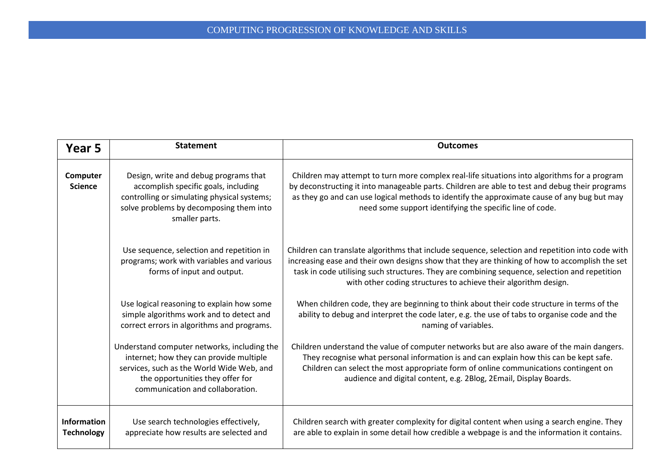| Year 5                                  | <b>Statement</b>                                                                                                                                                                                            | <b>Outcomes</b>                                                                                                                                                                                                                                                                                                                                                        |
|-----------------------------------------|-------------------------------------------------------------------------------------------------------------------------------------------------------------------------------------------------------------|------------------------------------------------------------------------------------------------------------------------------------------------------------------------------------------------------------------------------------------------------------------------------------------------------------------------------------------------------------------------|
| Computer<br><b>Science</b>              | Design, write and debug programs that<br>accomplish specific goals, including<br>controlling or simulating physical systems;<br>solve problems by decomposing them into<br>smaller parts.                   | Children may attempt to turn more complex real-life situations into algorithms for a program<br>by deconstructing it into manageable parts. Children are able to test and debug their programs<br>as they go and can use logical methods to identify the approximate cause of any bug but may<br>need some support identifying the specific line of code.              |
|                                         | Use sequence, selection and repetition in<br>programs; work with variables and various<br>forms of input and output.                                                                                        | Children can translate algorithms that include sequence, selection and repetition into code with<br>increasing ease and their own designs show that they are thinking of how to accomplish the set<br>task in code utilising such structures. They are combining sequence, selection and repetition<br>with other coding structures to achieve their algorithm design. |
|                                         | Use logical reasoning to explain how some<br>simple algorithms work and to detect and<br>correct errors in algorithms and programs.                                                                         | When children code, they are beginning to think about their code structure in terms of the<br>ability to debug and interpret the code later, e.g. the use of tabs to organise code and the<br>naming of variables.                                                                                                                                                     |
|                                         | Understand computer networks, including the<br>internet; how they can provide multiple<br>services, such as the World Wide Web, and<br>the opportunities they offer for<br>communication and collaboration. | Children understand the value of computer networks but are also aware of the main dangers.<br>They recognise what personal information is and can explain how this can be kept safe.<br>Children can select the most appropriate form of online communications contingent on<br>audience and digital content, e.g. 2Blog, 2Email, Display Boards.                      |
| <b>Information</b><br><b>Technology</b> | Use search technologies effectively,<br>appreciate how results are selected and                                                                                                                             | Children search with greater complexity for digital content when using a search engine. They<br>are able to explain in some detail how credible a webpage is and the information it contains.                                                                                                                                                                          |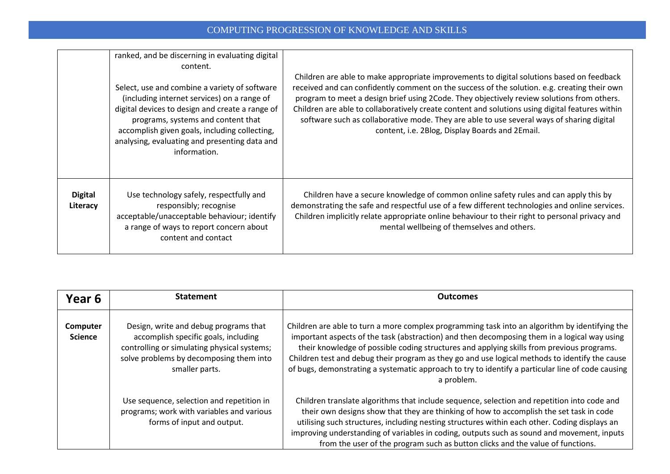|                            | ranked, and be discerning in evaluating digital<br>content.<br>Select, use and combine a variety of software<br>(including internet services) on a range of<br>digital devices to design and create a range of<br>programs, systems and content that<br>accomplish given goals, including collecting,<br>analysing, evaluating and presenting data and<br>information. | Children are able to make appropriate improvements to digital solutions based on feedback<br>received and can confidently comment on the success of the solution. e.g. creating their own<br>program to meet a design brief using 2Code. They objectively review solutions from others.<br>Children are able to collaboratively create content and solutions using digital features within<br>software such as collaborative mode. They are able to use several ways of sharing digital<br>content, i.e. 2Blog, Display Boards and 2Email. |
|----------------------------|------------------------------------------------------------------------------------------------------------------------------------------------------------------------------------------------------------------------------------------------------------------------------------------------------------------------------------------------------------------------|--------------------------------------------------------------------------------------------------------------------------------------------------------------------------------------------------------------------------------------------------------------------------------------------------------------------------------------------------------------------------------------------------------------------------------------------------------------------------------------------------------------------------------------------|
| <b>Digital</b><br>Literacy | Use technology safely, respectfully and<br>responsibly; recognise<br>acceptable/unacceptable behaviour; identify<br>a range of ways to report concern about<br>content and contact                                                                                                                                                                                     | Children have a secure knowledge of common online safety rules and can apply this by<br>demonstrating the safe and respectful use of a few different technologies and online services.<br>Children implicitly relate appropriate online behaviour to their right to personal privacy and<br>mental wellbeing of themselves and others.                                                                                                                                                                                                     |

| Year 6                     | <b>Statement</b>                                                                                                                                                                          | <b>Outcomes</b>                                                                                                                                                                                                                                                                                                                                                                                                                                                                                                  |
|----------------------------|-------------------------------------------------------------------------------------------------------------------------------------------------------------------------------------------|------------------------------------------------------------------------------------------------------------------------------------------------------------------------------------------------------------------------------------------------------------------------------------------------------------------------------------------------------------------------------------------------------------------------------------------------------------------------------------------------------------------|
| Computer<br><b>Science</b> | Design, write and debug programs that<br>accomplish specific goals, including<br>controlling or simulating physical systems;<br>solve problems by decomposing them into<br>smaller parts. | Children are able to turn a more complex programming task into an algorithm by identifying the<br>important aspects of the task (abstraction) and then decomposing them in a logical way using<br>their knowledge of possible coding structures and applying skills from previous programs.<br>Children test and debug their program as they go and use logical methods to identify the cause<br>of bugs, demonstrating a systematic approach to try to identify a particular line of code causing<br>a problem. |
|                            | Use sequence, selection and repetition in<br>programs; work with variables and various<br>forms of input and output.                                                                      | Children translate algorithms that include sequence, selection and repetition into code and<br>their own designs show that they are thinking of how to accomplish the set task in code<br>utilising such structures, including nesting structures within each other. Coding displays an<br>improving understanding of variables in coding, outputs such as sound and movement, inputs<br>from the user of the program such as button clicks and the value of functions.                                          |